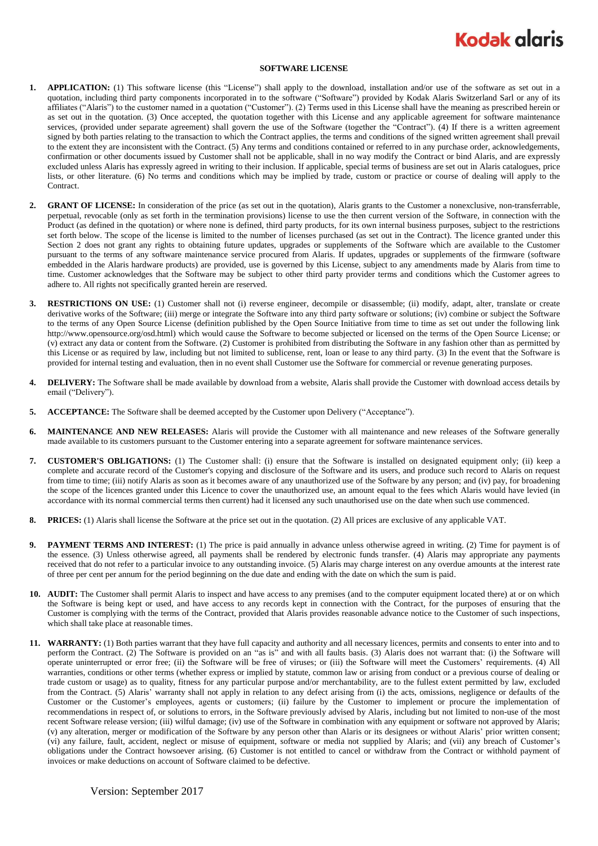## **Kodak glaris**

## **SOFTWARE LICENSE**

- **1. APPLICATION:** (1) This software license (this "License") shall apply to the download, installation and/or use of the software as set out in a quotation, including third party components incorporated in to the software ("Software") provided by Kodak Alaris Switzerland Sarl or any of its affiliates ("Alaris") to the customer named in a quotation ("Customer"). (2) Terms used in this License shall have the meaning as prescribed herein or as set out in the quotation. (3) Once accepted, the quotation together with this License and any applicable agreement for software maintenance services, (provided under separate agreement) shall govern the use of the Software (together the "Contract"). (4) If there is a written agreement signed by both parties relating to the transaction to which the Contract applies, the terms and conditions of the signed written agreement shall prevail to the extent they are inconsistent with the Contract. (5) Any terms and conditions contained or referred to in any purchase order, acknowledgements, confirmation or other documents issued by Customer shall not be applicable, shall in no way modify the Contract or bind Alaris, and are expressly excluded unless Alaris has expressly agreed in writing to their inclusion. If applicable, special terms of business are set out in Alaris catalogues, price lists, or other literature. (6) No terms and conditions which may be implied by trade, custom or practice or course of dealing will apply to the Contract.
- **2. GRANT OF LICENSE:** In consideration of the price (as set out in the quotation), Alaris grants to the Customer a nonexclusive, non-transferrable, perpetual, revocable (only as set forth in the termination provisions) license to use the then current version of the Software, in connection with the Product (as defined in the quotation) or where none is defined, third party products, for its own internal business purposes, subject to the restrictions set forth below. The scope of the license is limited to the number of licenses purchased (as set out in the Contract). The licence granted under this Section 2 does not grant any rights to obtaining future updates, upgrades or supplements of the Software which are available to the Customer pursuant to the terms of any software maintenance service procured from Alaris. If updates, upgrades or supplements of the firmware (software embedded in the Alaris hardware products) are provided, use is governed by this License, subject to any amendments made by Alaris from time to time. Customer acknowledges that the Software may be subject to other third party provider terms and conditions which the Customer agrees to adhere to. All rights not specifically granted herein are reserved.
- **3. RESTRICTIONS ON USE:** (1) Customer shall not (i) reverse engineer, decompile or disassemble; (ii) modify, adapt, alter, translate or create derivative works of the Software; (iii) merge or integrate the Software into any third party software or solutions; (iv) combine or subject the Software to the terms of any Open Source License (definition published by the Open Source Initiative from time to time as set out under the following link http://www.opensource.org/osd.html) which would cause the Software to become subjected or licensed on the terms of the Open Source License; or (v) extract any data or content from the Software. (2) Customer is prohibited from distributing the Software in any fashion other than as permitted by this License or as required by law, including but not limited to sublicense, rent, loan or lease to any third party. (3) In the event that the Software is provided for internal testing and evaluation, then in no event shall Customer use the Software for commercial or revenue generating purposes.
- **4. DELIVERY:** The Software shall be made available by download from a website, Alaris shall provide the Customer with download access details by email ("Delivery").
- **5. ACCEPTANCE:** The Software shall be deemed accepted by the Customer upon Delivery ("Acceptance").
- **6. MAINTENANCE AND NEW RELEASES:** Alaris will provide the Customer with all maintenance and new releases of the Software generally made available to its customers pursuant to the Customer entering into a separate agreement for software maintenance services.
- **7. CUSTOMER'S OBLIGATIONS:** (1) The Customer shall: (i) ensure that the Software is installed on designated equipment only; (ii) keep a complete and accurate record of the Customer's copying and disclosure of the Software and its users, and produce such record to Alaris on request from time to time; (iii) notify Alaris as soon as it becomes aware of any unauthorized use of the Software by any person; and (iv) pay, for broadening the scope of the licences granted under this Licence to cover the unauthorized use, an amount equal to the fees which Alaris would have levied (in accordance with its normal commercial terms then current) had it licensed any such unauthorised use on the date when such use commenced.
- **8. PRICES:** (1) Alaris shall license the Software at the price set out in the quotation. (2) All prices are exclusive of any applicable VAT.
- **9. PAYMENT TERMS AND INTEREST:** (1) The price is paid annually in advance unless otherwise agreed in writing. (2) Time for payment is of the essence. (3) Unless otherwise agreed, all payments shall be rendered by electronic funds transfer. (4) Alaris may appropriate any payments received that do not refer to a particular invoice to any outstanding invoice. (5) Alaris may charge interest on any overdue amounts at the interest rate of three per cent per annum for the period beginning on the due date and ending with the date on which the sum is paid.
- **10. AUDIT:** The Customer shall permit Alaris to inspect and have access to any premises (and to the computer equipment located there) at or on which the Software is being kept or used, and have access to any records kept in connection with the Contract, for the purposes of ensuring that the Customer is complying with the terms of the Contract, provided that Alaris provides reasonable advance notice to the Customer of such inspections, which shall take place at reasonable times.
- **11. WARRANTY:** (1) Both parties warrant that they have full capacity and authority and all necessary licences, permits and consents to enter into and to perform the Contract. (2) The Software is provided on an "as is" and with all faults basis. (3) Alaris does not warrant that: (i) the Software will operate uninterrupted or error free; (ii) the Software will be free of viruses; or (iii) the Software will meet the Customers' requirements. (4) All warranties, conditions or other terms (whether express or implied by statute, common law or arising from conduct or a previous course of dealing or trade custom or usage) as to quality, fitness for any particular purpose and/or merchantability, are to the fullest extent permitted by law, excluded from the Contract. (5) Alaris' warranty shall not apply in relation to any defect arising from (i) the acts, omissions, negligence or defaults of the Customer or the Customer's employees, agents or customers; (ii) failure by the Customer to implement or procure the implementation of recommendations in respect of, or solutions to errors, in the Software previously advised by Alaris, including but not limited to non-use of the most recent Software release version; (iii) wilful damage; (iv) use of the Software in combination with any equipment or software not approved by Alaris; (v) any alteration, merger or modification of the Software by any person other than Alaris or its designees or without Alaris' prior written consent; (vi) any failure, fault, accident, neglect or misuse of equipment, software or media not supplied by Alaris; and (vii) any breach of Customer's obligations under the Contract howsoever arising. (6) Customer is not entitled to cancel or withdraw from the Contract or withhold payment of invoices or make deductions on account of Software claimed to be defective.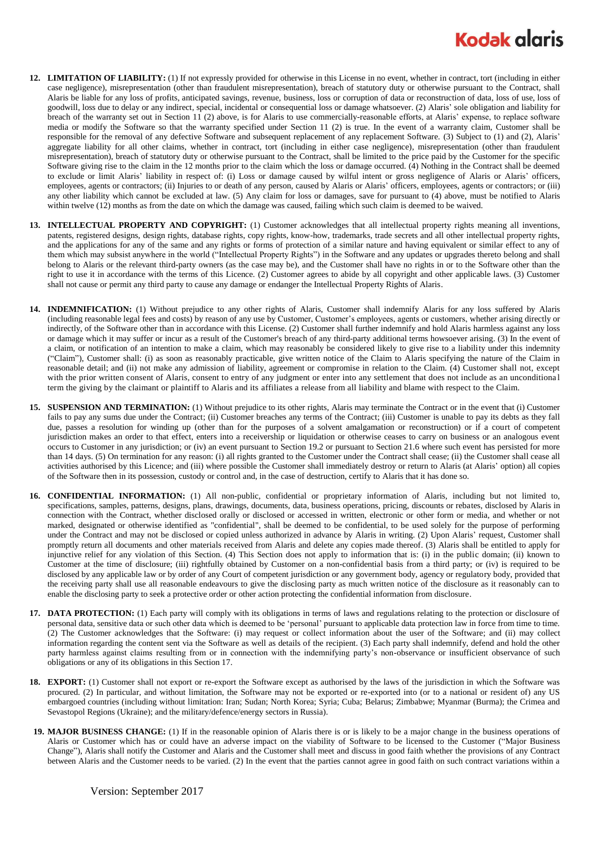## **Kodak glaris**

- **12. LIMITATION OF LIABILITY:** (1) If not expressly provided for otherwise in this License in no event, whether in contract, tort (including in either case negligence), misrepresentation (other than fraudulent misrepresentation), breach of statutory duty or otherwise pursuant to the Contract, shall Alaris be liable for any loss of profits, anticipated savings, revenue, business, loss or corruption of data or reconstruction of data, loss of use, loss of goodwill, loss due to delay or any indirect, special, incidental or consequential loss or damage whatsoever. (2) Alaris' sole obligation and liability for breach of the warranty set out in Section 11 (2) above, is for Alaris to use commercially-reasonable efforts, at Alaris' expense, to replace software media or modify the Software so that the warranty specified under Section 11 (2) is true. In the event of a warranty claim, Customer shall be responsible for the removal of any defective Software and subsequent replacement of any replacement Software. (3) Subject to (1) and (2), Alaris' aggregate liability for all other claims, whether in contract, tort (including in either case negligence), misrepresentation (other than fraudulent misrepresentation), breach of statutory duty or otherwise pursuant to the Contract, shall be limited to the price paid by the Customer for the specific Software giving rise to the claim in the 12 months prior to the claim which the loss or damage occurred. (4) Nothing in the Contract shall be deemed to exclude or limit Alaris' liability in respect of: (i) Loss or damage caused by wilful intent or gross negligence of Alaris or Alaris' officers, employees, agents or contractors; (ii) Injuries to or death of any person, caused by Alaris or Alaris' officers, employees, agents or contractors; or (iii) any other liability which cannot be excluded at law. (5) Any claim for loss or damages, save for pursuant to (4) above, must be notified to Alaris within twelve (12) months as from the date on which the damage was caused, failing which such claim is deemed to be waived.
- **13. INTELLECTUAL PROPERTY AND COPYRIGHT:** (1) Customer acknowledges that all intellectual property rights meaning all inventions, patents, registered designs, design rights, database rights, copy rights, know-how, trademarks, trade secrets and all other intellectual property rights, and the applications for any of the same and any rights or forms of protection of a similar nature and having equivalent or similar effect to any of them which may subsist anywhere in the world ("Intellectual Property Rights") in the Software and any updates or upgrades thereto belong and shall belong to Alaris or the relevant third-party owners (as the case may be), and the Customer shall have no rights in or to the Software other than the right to use it in accordance with the terms of this Licence. (2) Customer agrees to abide by all copyright and other applicable laws. (3) Customer shall not cause or permit any third party to cause any damage or endanger the Intellectual Property Rights of Alaris.
- **14. INDEMNIFICATION:** (1) Without prejudice to any other rights of Alaris, Customer shall indemnify Alaris for any loss suffered by Alaris (including reasonable legal fees and costs) by reason of any use by Customer, Customer's employees, agents or customers, whether arising directly or indirectly, of the Software other than in accordance with this License. (2) Customer shall further indemnify and hold Alaris harmless against any loss or damage which it may suffer or incur as a result of the Customer's breach of any third-party additional terms howsoever arising. (3) In the event of a claim, or notification of an intention to make a claim, which may reasonably be considered likely to give rise to a liability under this indemnity ("Claim"), Customer shall: (i) as soon as reasonably practicable, give written notice of the Claim to Alaris specifying the nature of the Claim in reasonable detail; and (ii) not make any admission of liability, agreement or compromise in relation to the Claim. (4) Customer shall not, except with the prior written consent of Alaris, consent to entry of any judgment or enter into any settlement that does not include as an unconditional term the giving by the claimant or plaintiff to Alaris and its affiliates a release from all liability and blame with respect to the Claim.
- **15. SUSPENSION AND TERMINATION:** (1) Without prejudice to its other rights, Alaris may terminate the Contract or in the event that (i) Customer fails to pay any sums due under the Contract; (ii) Customer breaches any terms of the Contract; (iii) Customer is unable to pay its debts as they fall due, passes a resolution for winding up (other than for the purposes of a solvent amalgamation or reconstruction) or if a court of competent jurisdiction makes an order to that effect, enters into a receivership or liquidation or otherwise ceases to carry on business or an analogous event occurs to Customer in any jurisdiction; or (iv) an event pursuant to Section 19.2 or pursuant to Section 21.6 where such event has persisted for more than 14 days. (5) On termination for any reason: (i) all rights granted to the Customer under the Contract shall cease; (ii) the Customer shall cease all activities authorised by this Licence; and (iii) where possible the Customer shall immediately destroy or return to Alaris (at Alaris' option) all copies of the Software then in its possession, custody or control and, in the case of destruction, certify to Alaris that it has done so.
- **16. CONFIDENTIAL INFORMATION:** (1) All non-public, confidential or proprietary information of Alaris, including but not limited to, specifications, samples, patterns, designs, plans, drawings, documents, data, business operations, pricing, discounts or rebates, disclosed by Alaris in connection with the Contract, whether disclosed orally or disclosed or accessed in written, electronic or other form or media, and whether or not marked, designated or otherwise identified as "confidential", shall be deemed to be confidential, to be used solely for the purpose of performing under the Contract and may not be disclosed or copied unless authorized in advance by Alaris in writing. (2) Upon Alaris' request, Customer shall promptly return all documents and other materials received from Alaris and delete any copies made thereof. (3) Alaris shall be entitled to apply for injunctive relief for any violation of this Section. (4) This Section does not apply to information that is: (i) in the public domain; (ii) known to Customer at the time of disclosure; (iii) rightfully obtained by Customer on a non-confidential basis from a third party; or (iv) is required to be disclosed by any applicable law or by order of any Court of competent jurisdiction or any government body, agency or regulatory body, provided that the receiving party shall use all reasonable endeavours to give the disclosing party as much written notice of the disclosure as it reasonably can to enable the disclosing party to seek a protective order or other action protecting the confidential information from disclosure.
- **17. DATA PROTECTION:** (1) Each party will comply with its obligations in terms of laws and regulations relating to the protection or disclosure of personal data, sensitive data or such other data which is deemed to be 'personal' pursuant to applicable data protection law in force from time to time. (2) The Customer acknowledges that the Software: (i) may request or collect information about the user of the Software; and (ii) may collect information regarding the content sent via the Software as well as details of the recipient. (3) Each party shall indemnify, defend and hold the other party harmless against claims resulting from or in connection with the indemnifying party's non-observance or insufficient observance of such obligations or any of its obligations in this Section 17.
- **18. EXPORT:** (1) Customer shall not export or re-export the Software except as authorised by the laws of the jurisdiction in which the Software was procured. (2) In particular, and without limitation, the Software may not be exported or re-exported into (or to a national or resident of) any US embargoed countries (including without limitation: Iran; Sudan; North Korea; Syria; Cuba; Belarus; Zimbabwe; Myanmar (Burma); the Crimea and Sevastopol Regions (Ukraine); and the military/defence/energy sectors in Russia).
- **19. MAJOR BUSINESS CHANGE:** (1) If in the reasonable opinion of Alaris there is or is likely to be a major change in the business operations of Alaris or Customer which has or could have an adverse impact on the viability of Software to be licensed to the Customer ("Major Business Change"), Alaris shall notify the Customer and Alaris and the Customer shall meet and discuss in good faith whether the provisions of any Contract between Alaris and the Customer needs to be varied. (2) In the event that the parties cannot agree in good faith on such contract variations within a